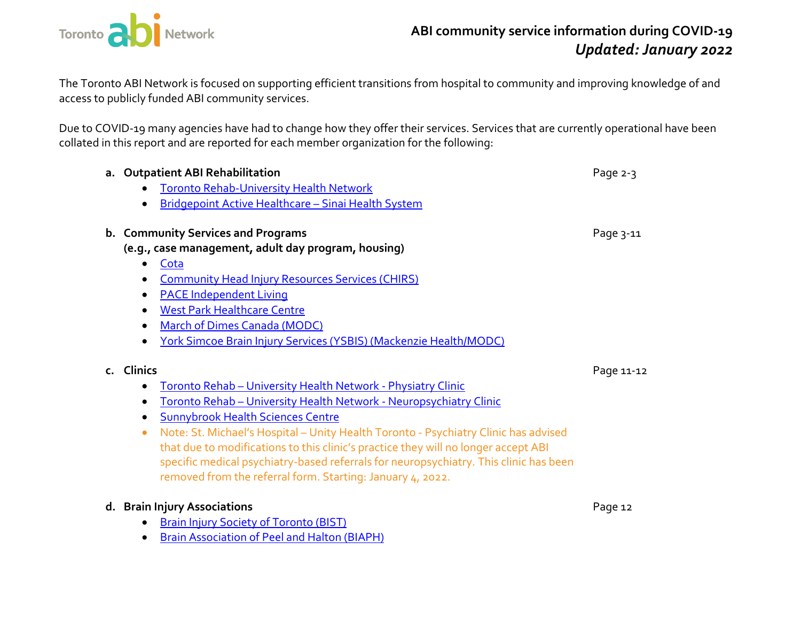

The Toronto ABI Network is focused on supporting efficient transitions from hospital to community and improving knowledge of and access to publicly funded ABI community services.

Due to COVID-19 many agencies have had to change how they offer their services. Services that are currently operational have been collated in this report and are reported for each member organization for the following:

|            | a. Outpatient ABI Rehabilitation                                                      | Page 2-3   |
|------------|---------------------------------------------------------------------------------------|------------|
| $\bullet$  | <b>Toronto Rehab-University Health Network</b>                                        |            |
| $\bullet$  | Bridgepoint Active Healthcare - Sinai Health System                                   |            |
|            | b. Community Services and Programs                                                    | Page 3-11  |
|            | (e.g., case management, adult day program, housing)                                   |            |
| $\bullet$  | Cota                                                                                  |            |
| $\bullet$  | <b>Community Head Injury Resources Services (CHIRS)</b>                               |            |
| $\bullet$  | <b>PACE Independent Living</b>                                                        |            |
| $\bullet$  | <b>West Park Healthcare Centre</b>                                                    |            |
| $\bullet$  | March of Dimes Canada (MODC)                                                          |            |
| $\bullet$  | <b>York Simcoe Brain Injury Services (YSBIS) (Mackenzie Health/MODC)</b>              |            |
| c. Clinics |                                                                                       | Page 11-12 |
| $\bullet$  | Toronto Rehab - University Health Network - Physiatry Clinic                          |            |
| $\bullet$  | Toronto Rehab - University Health Network - Neuropsychiatry Clinic                    |            |
| $\bullet$  | <b>Sunnybrook Health Sciences Centre</b>                                              |            |
| $\bullet$  | Note: St. Michael's Hospital - Unity Health Toronto - Psychiatry Clinic has advised   |            |
|            | that due to modifications to this clinic's practice they will no longer accept ABI    |            |
|            | specific medical psychiatry-based referrals for neuropsychiatry. This clinic has been |            |
|            | removed from the referral form. Starting: January 4, 2022.                            |            |
|            | d. Brain Injury Associations                                                          | Page 12    |
| $\bullet$  | <b>Brain Injury Society of Toronto (BIST)</b>                                         |            |
| $\bullet$  | <b>Brain Association of Peel and Halton (BIAPH)</b>                                   |            |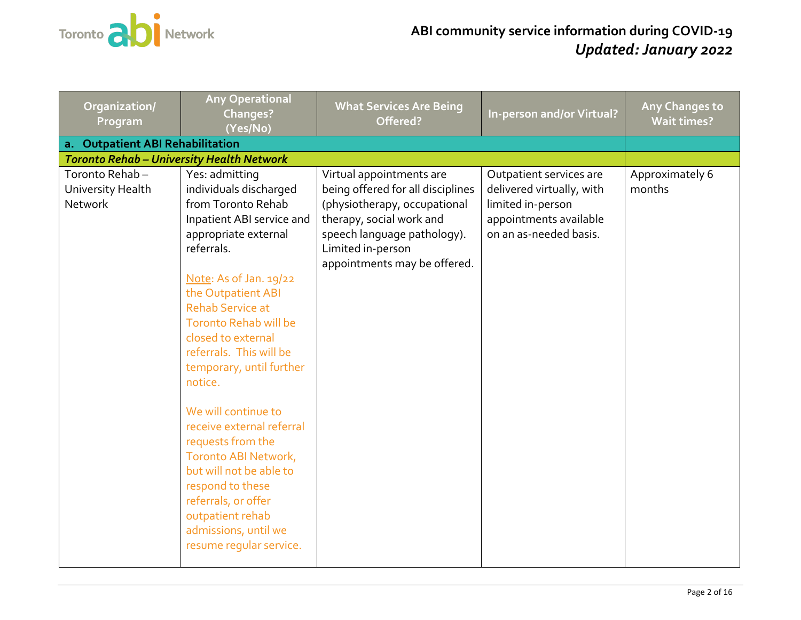

<span id="page-1-0"></span>

| Organization/<br>Program                              | <b>Any Operational</b><br>Changes?<br>(Yes/No)                                                                                                                                                                                                                                                                                                                                                                                                                                                                                                                                     | <b>What Services Are Being</b><br>Offered?                                                                                                                                                                    | In-person and/or Virtual?                                                                                                     | Any Changes to<br><b>Wait times?</b> |
|-------------------------------------------------------|------------------------------------------------------------------------------------------------------------------------------------------------------------------------------------------------------------------------------------------------------------------------------------------------------------------------------------------------------------------------------------------------------------------------------------------------------------------------------------------------------------------------------------------------------------------------------------|---------------------------------------------------------------------------------------------------------------------------------------------------------------------------------------------------------------|-------------------------------------------------------------------------------------------------------------------------------|--------------------------------------|
| a. Outpatient ABI Rehabilitation                      |                                                                                                                                                                                                                                                                                                                                                                                                                                                                                                                                                                                    |                                                                                                                                                                                                               |                                                                                                                               |                                      |
| <b>Toronto Rehab - University Health Network</b>      |                                                                                                                                                                                                                                                                                                                                                                                                                                                                                                                                                                                    |                                                                                                                                                                                                               |                                                                                                                               |                                      |
| Toronto Rehab-<br>University Health<br><b>Network</b> | Yes: admitting<br>individuals discharged<br>from Toronto Rehab<br>Inpatient ABI service and<br>appropriate external<br>referrals.<br>Note: As of Jan. 19/22<br>the Outpatient ABI<br><b>Rehab Service at</b><br><b>Toronto Rehab will be</b><br>closed to external<br>referrals. This will be<br>temporary, until further<br>notice.<br>We will continue to<br>receive external referral<br>requests from the<br>Toronto ABI Network,<br>but will not be able to<br>respond to these<br>referrals, or offer<br>outpatient rehab<br>admissions, until we<br>resume regular service. | Virtual appointments are<br>being offered for all disciplines<br>(physiotherapy, occupational<br>therapy, social work and<br>speech language pathology).<br>Limited in-person<br>appointments may be offered. | Outpatient services are<br>delivered virtually, with<br>limited in-person<br>appointments available<br>on an as-needed basis. | Approximately 6<br>months            |
|                                                       |                                                                                                                                                                                                                                                                                                                                                                                                                                                                                                                                                                                    |                                                                                                                                                                                                               |                                                                                                                               |                                      |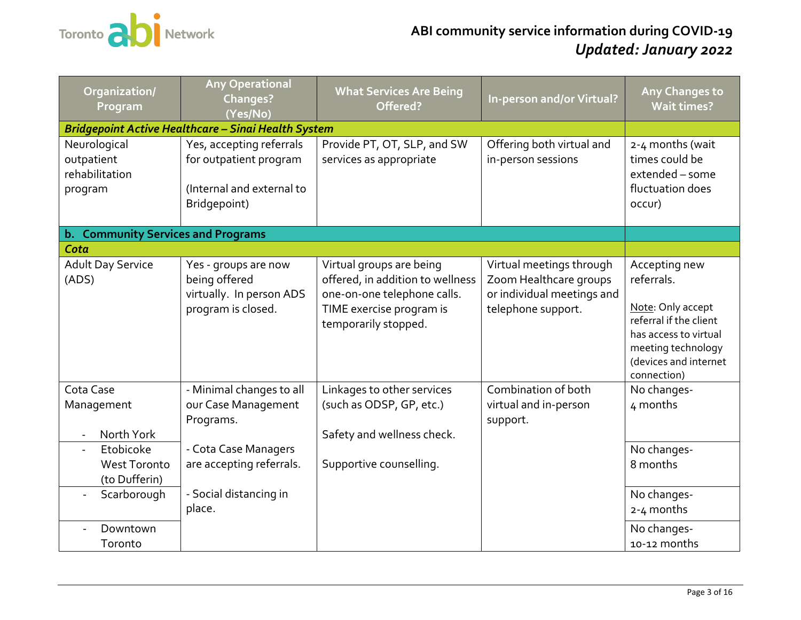

<span id="page-2-1"></span><span id="page-2-0"></span>

| Organization/<br>Program                                                      | <b>Any Operational</b><br><b>Changes?</b><br>(Yes/No)                                           | <b>What Services Are Being</b><br>Offered?                                                                                                      | In-person and/or Virtual?                                                                              | Any Changes to<br><b>Wait times?</b>                                                                                                                              |
|-------------------------------------------------------------------------------|-------------------------------------------------------------------------------------------------|-------------------------------------------------------------------------------------------------------------------------------------------------|--------------------------------------------------------------------------------------------------------|-------------------------------------------------------------------------------------------------------------------------------------------------------------------|
|                                                                               | Bridgepoint Active Healthcare - Sinai Health System                                             |                                                                                                                                                 |                                                                                                        |                                                                                                                                                                   |
| Neurological<br>outpatient<br>rehabilitation<br>program                       | Yes, accepting referrals<br>for outpatient program<br>(Internal and external to<br>Bridgepoint) | Provide PT, OT, SLP, and SW<br>services as appropriate                                                                                          | Offering both virtual and<br>in-person sessions                                                        | 2-4 months (wait<br>times could be<br>extended - some<br>fluctuation does<br>occur)                                                                               |
| b. Community Services and Programs                                            |                                                                                                 |                                                                                                                                                 |                                                                                                        |                                                                                                                                                                   |
| Cota                                                                          |                                                                                                 |                                                                                                                                                 |                                                                                                        |                                                                                                                                                                   |
| <b>Adult Day Service</b><br>(ADS)                                             | Yes - groups are now<br>being offered<br>virtually. In person ADS<br>program is closed.         | Virtual groups are being<br>offered, in addition to wellness<br>one-on-one telephone calls.<br>TIME exercise program is<br>temporarily stopped. | Virtual meetings through<br>Zoom Healthcare groups<br>or individual meetings and<br>telephone support. | Accepting new<br>referrals.<br>Note: Only accept<br>referral if the client<br>has access to virtual<br>meeting technology<br>(devices and internet<br>connection) |
| Cota Case<br>Management<br>North York                                         | - Minimal changes to all<br>our Case Management<br>Programs.                                    | Linkages to other services<br>(such as ODSP, GP, etc.)<br>Safety and wellness check.                                                            | Combination of both<br>virtual and in-person<br>support.                                               | No changes-<br>4 months                                                                                                                                           |
| Etobicoke<br>$\overline{\phantom{a}}$<br><b>West Toronto</b><br>(to Dufferin) | - Cota Case Managers<br>are accepting referrals.                                                | Supportive counselling.                                                                                                                         |                                                                                                        | No changes-<br>8 months                                                                                                                                           |
| Scarborough                                                                   | - Social distancing in<br>place.                                                                |                                                                                                                                                 |                                                                                                        | No changes-<br>2-4 months                                                                                                                                         |
| Downtown<br>Toronto                                                           |                                                                                                 |                                                                                                                                                 |                                                                                                        | No changes-<br>10-12 months                                                                                                                                       |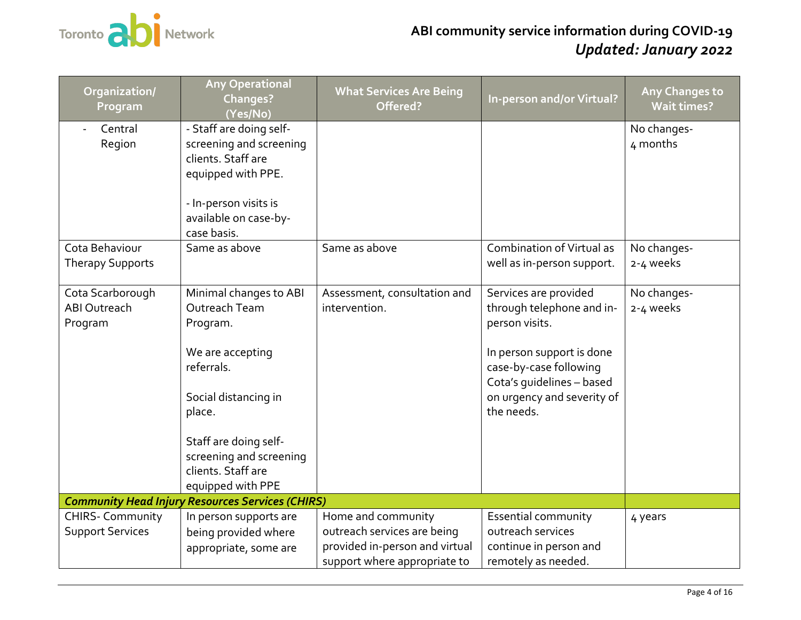

<span id="page-3-0"></span>

| Organization/<br>Program                           | <b>Any Operational</b><br><b>Changes?</b><br>(Yes/No)                                                                                                                                                                  | <b>What Services Are Being</b><br>Offered?                                                                          | In-person and/or Virtual?                                                                                                                                                                            | <b>Any Changes to</b><br><b>Wait times?</b> |
|----------------------------------------------------|------------------------------------------------------------------------------------------------------------------------------------------------------------------------------------------------------------------------|---------------------------------------------------------------------------------------------------------------------|------------------------------------------------------------------------------------------------------------------------------------------------------------------------------------------------------|---------------------------------------------|
| Central<br>Region<br>Cota Behaviour                | - Staff are doing self-<br>screening and screening<br>clients. Staff are<br>equipped with PPE.<br>- In-person visits is<br>available on case-by-<br>case basis.<br>Same as above                                       | Same as above                                                                                                       | <b>Combination of Virtual as</b>                                                                                                                                                                     | No changes-<br>4 months<br>No changes-      |
| <b>Therapy Supports</b>                            |                                                                                                                                                                                                                        |                                                                                                                     | well as in-person support.                                                                                                                                                                           | 2-4 weeks                                   |
| Cota Scarborough<br><b>ABI Outreach</b><br>Program | Minimal changes to ABI<br>Outreach Team<br>Program.<br>We are accepting<br>referrals.<br>Social distancing in<br>place.<br>Staff are doing self-<br>screening and screening<br>clients. Staff are<br>equipped with PPE | Assessment, consultation and<br>intervention.                                                                       | Services are provided<br>through telephone and in-<br>person visits.<br>In person support is done<br>case-by-case following<br>Cota's quidelines - based<br>on urgency and severity of<br>the needs. | No changes-<br>2-4 weeks                    |
|                                                    | <b>Community Head Injury Resources Services (CHIRS)</b>                                                                                                                                                                |                                                                                                                     |                                                                                                                                                                                                      |                                             |
| <b>CHIRS- Community</b><br><b>Support Services</b> | In person supports are<br>being provided where<br>appropriate, some are                                                                                                                                                | Home and community<br>outreach services are being<br>provided in-person and virtual<br>support where appropriate to | <b>Essential community</b><br>outreach services<br>continue in person and<br>remotely as needed.                                                                                                     | 4 years                                     |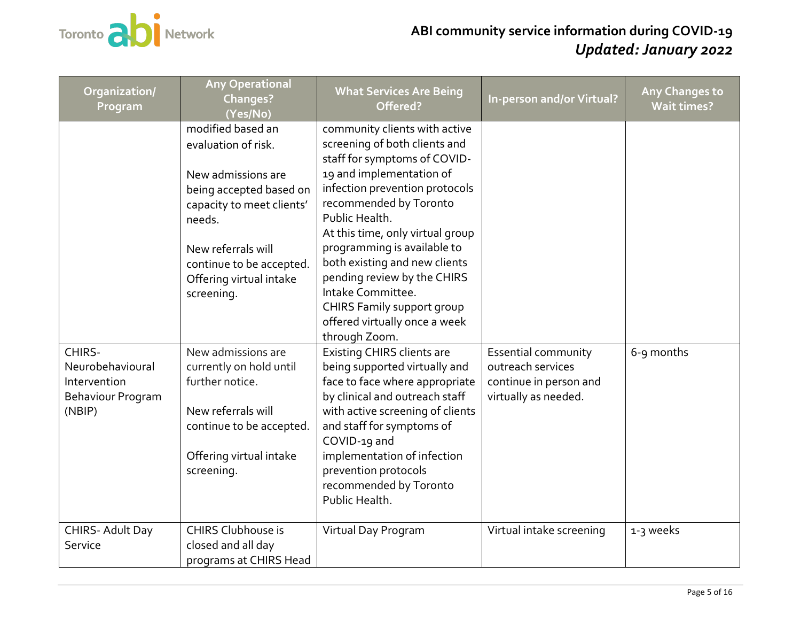

| Organization/<br>Program                                                  | <b>Any Operational</b><br>Changes?<br>(Yes/No)                                                                                                                                                                              | <b>What Services Are Being</b><br>Offered?                                                                                                                                                                                                                                                                                                                                                                                                       | <b>In-person and/or Virtual?</b>                                                           | <b>Any Changes to</b><br><b>Wait times?</b> |
|---------------------------------------------------------------------------|-----------------------------------------------------------------------------------------------------------------------------------------------------------------------------------------------------------------------------|--------------------------------------------------------------------------------------------------------------------------------------------------------------------------------------------------------------------------------------------------------------------------------------------------------------------------------------------------------------------------------------------------------------------------------------------------|--------------------------------------------------------------------------------------------|---------------------------------------------|
|                                                                           | modified based an<br>evaluation of risk.<br>New admissions are<br>being accepted based on<br>capacity to meet clients'<br>needs.<br>New referrals will<br>continue to be accepted.<br>Offering virtual intake<br>screening. | community clients with active<br>screening of both clients and<br>staff for symptoms of COVID-<br>19 and implementation of<br>infection prevention protocols<br>recommended by Toronto<br>Public Health.<br>At this time, only virtual group<br>programming is available to<br>both existing and new clients<br>pending review by the CHIRS<br>Intake Committee.<br>CHIRS Family support group<br>offered virtually once a week<br>through Zoom. |                                                                                            |                                             |
| CHIRS-<br>Neurobehavioural<br>Intervention<br>Behaviour Program<br>(NBIP) | New admissions are<br>currently on hold until<br>further notice.<br>New referrals will<br>continue to be accepted.<br>Offering virtual intake<br>screening.                                                                 | <b>Existing CHIRS clients are</b><br>being supported virtually and<br>face to face where appropriate<br>by clinical and outreach staff<br>with active screening of clients<br>and staff for symptoms of<br>COVID-19 and<br>implementation of infection<br>prevention protocols<br>recommended by Toronto<br>Public Health.                                                                                                                       | Essential community<br>outreach services<br>continue in person and<br>virtually as needed. | 6-9 months                                  |
| CHIRS- Adult Day<br>Service                                               | CHIRS Clubhouse is<br>closed and all day<br>programs at CHIRS Head                                                                                                                                                          | Virtual Day Program                                                                                                                                                                                                                                                                                                                                                                                                                              | Virtual intake screening                                                                   | 1-3 weeks                                   |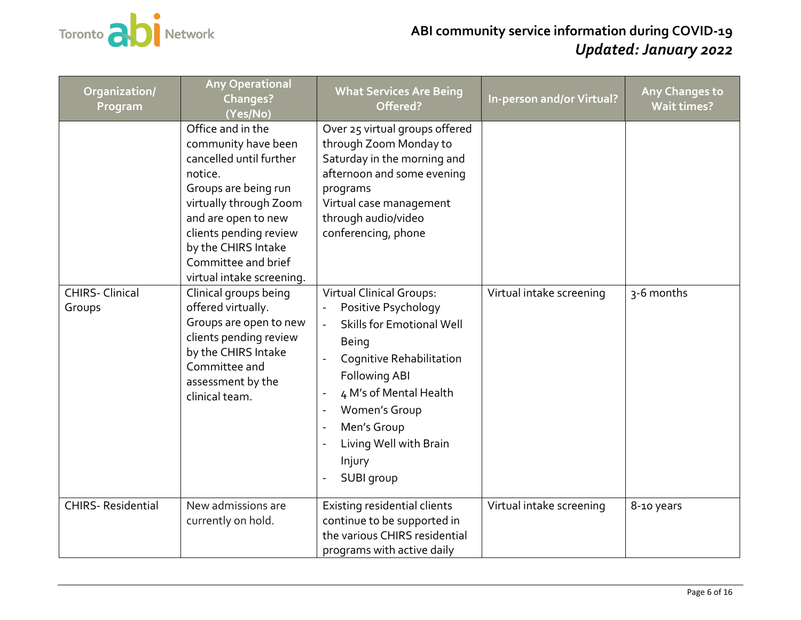

| Organization/<br>Program         | <b>Any Operational</b><br><b>Changes?</b><br>(Yes/No)                                                                                                                                                                                                                                                                                                                                                                                          | <b>What Services Are Being</b><br>Offered?                                                                                                                                                                                                                                                                                                                                                                                                                                        | In-person and/or Virtual? | <b>Any Changes to</b><br><b>Wait times?</b> |
|----------------------------------|------------------------------------------------------------------------------------------------------------------------------------------------------------------------------------------------------------------------------------------------------------------------------------------------------------------------------------------------------------------------------------------------------------------------------------------------|-----------------------------------------------------------------------------------------------------------------------------------------------------------------------------------------------------------------------------------------------------------------------------------------------------------------------------------------------------------------------------------------------------------------------------------------------------------------------------------|---------------------------|---------------------------------------------|
| <b>CHIRS- Clinical</b><br>Groups | Office and in the<br>community have been<br>cancelled until further<br>notice.<br>Groups are being run<br>virtually through Zoom<br>and are open to new<br>clients pending review<br>by the CHIRS Intake<br>Committee and brief<br>virtual intake screening.<br>Clinical groups being<br>offered virtually.<br>Groups are open to new<br>clients pending review<br>by the CHIRS Intake<br>Committee and<br>assessment by the<br>clinical team. | Over 25 virtual groups offered<br>through Zoom Monday to<br>Saturday in the morning and<br>afternoon and some evening<br>programs<br>Virtual case management<br>through audio/video<br>conferencing, phone<br><b>Virtual Clinical Groups:</b><br>Positive Psychology<br><b>Skills for Emotional Well</b><br><b>Being</b><br>Cognitive Rehabilitation<br>Following ABI<br>4 M's of Mental Health<br>Women's Group<br>Men's Group<br>Living Well with Brain<br>Injury<br>SUBI group | Virtual intake screening  | 3-6 months                                  |
| <b>CHIRS-Residential</b>         | New admissions are<br>currently on hold.                                                                                                                                                                                                                                                                                                                                                                                                       | Existing residential clients<br>continue to be supported in<br>the various CHIRS residential<br>programs with active daily                                                                                                                                                                                                                                                                                                                                                        | Virtual intake screening  | 8-10 years                                  |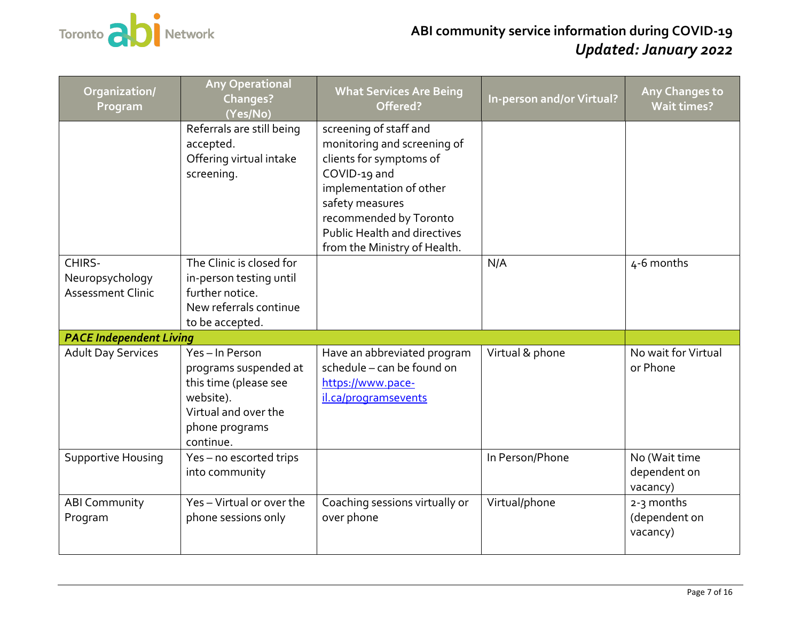

<span id="page-6-0"></span>

| Organization/<br>Program                              | <b>Any Operational</b><br>Changes?<br>(Yes/No)                                                                                      | <b>What Services Are Being</b><br>Offered?                                                                                                                                                                                                      | <b>In-person and/or Virtual?</b> | Any Changes to<br><b>Wait times?</b>      |
|-------------------------------------------------------|-------------------------------------------------------------------------------------------------------------------------------------|-------------------------------------------------------------------------------------------------------------------------------------------------------------------------------------------------------------------------------------------------|----------------------------------|-------------------------------------------|
|                                                       | Referrals are still being<br>accepted.<br>Offering virtual intake<br>screening.                                                     | screening of staff and<br>monitoring and screening of<br>clients for symptoms of<br>COVID-19 and<br>implementation of other<br>safety measures<br>recommended by Toronto<br><b>Public Health and directives</b><br>from the Ministry of Health. |                                  |                                           |
| CHIRS-<br>Neuropsychology<br><b>Assessment Clinic</b> | The Clinic is closed for<br>in-person testing until<br>further notice.<br>New referrals continue<br>to be accepted.                 |                                                                                                                                                                                                                                                 | N/A                              | 4-6 months                                |
| <b>PACE Independent Living</b>                        |                                                                                                                                     |                                                                                                                                                                                                                                                 |                                  |                                           |
| <b>Adult Day Services</b>                             | Yes-In Person<br>programs suspended at<br>this time (please see<br>website).<br>Virtual and over the<br>phone programs<br>continue. | Have an abbreviated program<br>schedule - can be found on<br>https://www.pace-<br>il.ca/programsevents                                                                                                                                          | Virtual & phone                  | No wait for Virtual<br>or Phone           |
| <b>Supportive Housing</b>                             | Yes-no escorted trips<br>into community                                                                                             |                                                                                                                                                                                                                                                 | In Person/Phone                  | No (Wait time<br>dependent on<br>vacancy) |
| <b>ABI Community</b><br>Program                       | Yes-Virtual or over the<br>phone sessions only                                                                                      | Coaching sessions virtually or<br>over phone                                                                                                                                                                                                    | Virtual/phone                    | 2-3 months<br>(dependent on<br>vacancy)   |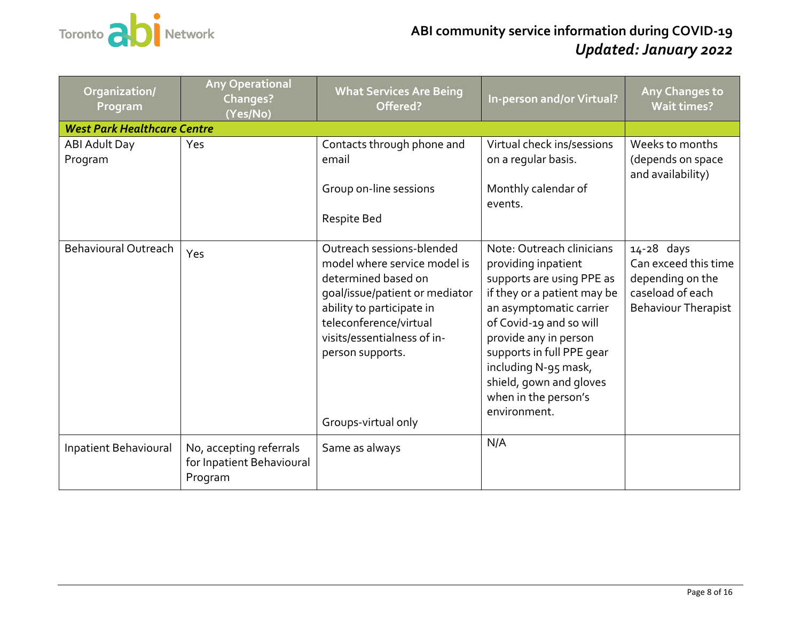

<span id="page-7-0"></span>

| Organization/<br>Program           | <b>Any Operational</b><br><b>Changes?</b><br>(Yes/No)           | <b>What Services Are Being</b><br>Offered?                                                                                                                                                                                                          | In-person and/or Virtual?                                                                                                                                                                                                                                                                                           | Any Changes to<br><b>Wait times?</b>                                                                     |
|------------------------------------|-----------------------------------------------------------------|-----------------------------------------------------------------------------------------------------------------------------------------------------------------------------------------------------------------------------------------------------|---------------------------------------------------------------------------------------------------------------------------------------------------------------------------------------------------------------------------------------------------------------------------------------------------------------------|----------------------------------------------------------------------------------------------------------|
| <b>West Park Healthcare Centre</b> |                                                                 |                                                                                                                                                                                                                                                     |                                                                                                                                                                                                                                                                                                                     |                                                                                                          |
| ABI Adult Day<br>Program           | Yes                                                             | Contacts through phone and<br>email<br>Group on-line sessions<br>Respite Bed                                                                                                                                                                        | Virtual check ins/sessions<br>on a regular basis.<br>Monthly calendar of<br>events.                                                                                                                                                                                                                                 | Weeks to months<br>(depends on space<br>and availability)                                                |
| <b>Behavioural Outreach</b>        | Yes                                                             | Outreach sessions-blended<br>model where service model is<br>determined based on<br>goal/issue/patient or mediator<br>ability to participate in<br>teleconference/virtual<br>visits/essentialness of in-<br>person supports.<br>Groups-virtual only | Note: Outreach clinicians<br>providing inpatient<br>supports are using PPE as<br>if they or a patient may be<br>an asymptomatic carrier<br>of Covid-19 and so will<br>provide any in person<br>supports in full PPE gear<br>including N-95 mask,<br>shield, gown and gloves<br>when in the person's<br>environment. | 14-28 days<br>Can exceed this time<br>depending on the<br>caseload of each<br><b>Behaviour Therapist</b> |
| Inpatient Behavioural              | No, accepting referrals<br>for Inpatient Behavioural<br>Program | Same as always                                                                                                                                                                                                                                      | N/A                                                                                                                                                                                                                                                                                                                 |                                                                                                          |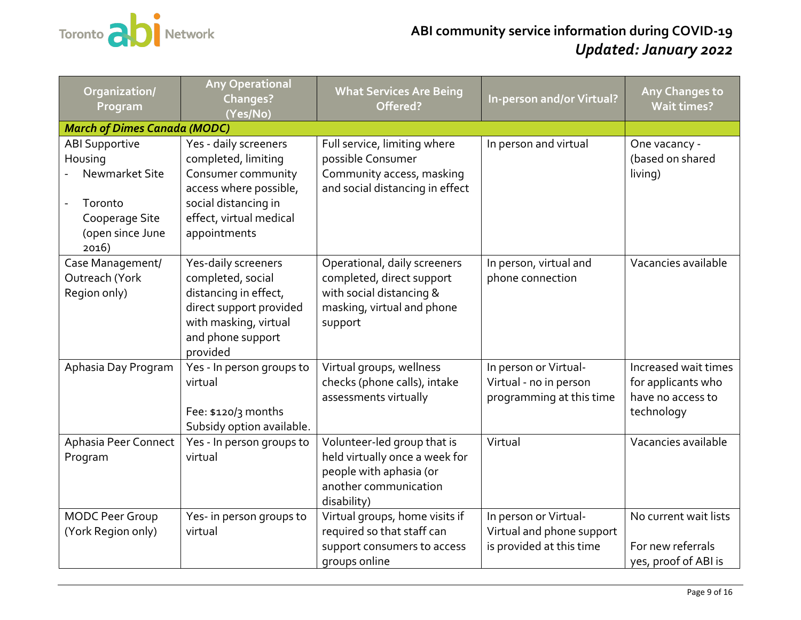

<span id="page-8-0"></span>

| Organization/<br>Program                                                                                     | <b>Any Operational</b><br>Changes?<br>(Yes/No)                                                                                                                  | <b>What Services Are Being</b><br>Offered?                                                                                       | In-person and/or Virtual?                                                      | Any Changes to<br><b>Wait times?</b>                                          |
|--------------------------------------------------------------------------------------------------------------|-----------------------------------------------------------------------------------------------------------------------------------------------------------------|----------------------------------------------------------------------------------------------------------------------------------|--------------------------------------------------------------------------------|-------------------------------------------------------------------------------|
| <b>March of Dimes Canada (MODC)</b>                                                                          |                                                                                                                                                                 |                                                                                                                                  |                                                                                |                                                                               |
| <b>ABI Supportive</b><br>Housing<br>Newmarket Site<br>Toronto<br>Cooperage Site<br>(open since June<br>2016) | Yes - daily screeners<br>completed, limiting<br>Consumer community<br>access where possible,<br>social distancing in<br>effect, virtual medical<br>appointments | Full service, limiting where<br>possible Consumer<br>Community access, masking<br>and social distancing in effect                | In person and virtual                                                          | One vacancy -<br>(based on shared<br>living)                                  |
| Case Management/<br>Outreach (York<br>Region only)                                                           | Yes-daily screeners<br>completed, social<br>distancing in effect,<br>direct support provided<br>with masking, virtual<br>and phone support<br>provided          | Operational, daily screeners<br>completed, direct support<br>with social distancing &<br>masking, virtual and phone<br>support   | In person, virtual and<br>phone connection                                     | Vacancies available                                                           |
| Aphasia Day Program                                                                                          | Yes - In person groups to<br>virtual<br>Fee: $$120/3$ months<br>Subsidy option available.                                                                       | Virtual groups, wellness<br>checks (phone calls), intake<br>assessments virtually                                                | In person or Virtual-<br>Virtual - no in person<br>programming at this time    | Increased wait times<br>for applicants who<br>have no access to<br>technology |
| Aphasia Peer Connect<br>Program                                                                              | Yes - In person groups to<br>virtual                                                                                                                            | Volunteer-led group that is<br>held virtually once a week for<br>people with aphasia (or<br>another communication<br>disability) | Virtual                                                                        | Vacancies available                                                           |
| <b>MODC Peer Group</b><br>(York Region only)                                                                 | Yes- in person groups to<br>virtual                                                                                                                             | Virtual groups, home visits if<br>required so that staff can<br>support consumers to access<br>groups online                     | In person or Virtual-<br>Virtual and phone support<br>is provided at this time | No current wait lists<br>For new referrals<br>yes, proof of ABI is            |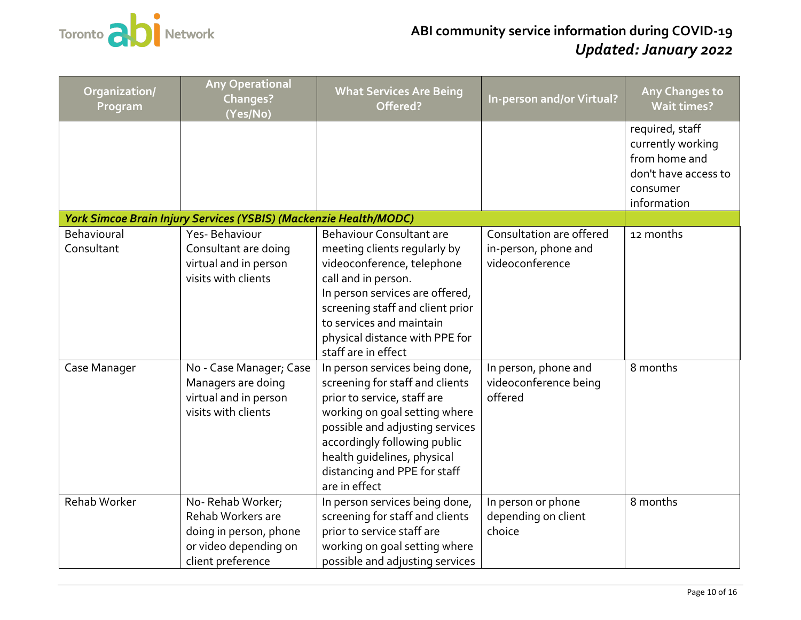

<span id="page-9-0"></span>

| Organization/<br>Program  | <b>Any Operational</b><br><b>Changes?</b><br>(Yes/No)                                                         | <b>What Services Are Being</b><br>Offered?                                                                                                                                                                                                                                           | <b>In-person and/or Virtual?</b>                                    | <b>Any Changes to</b><br><b>Wait times?</b>                                                              |
|---------------------------|---------------------------------------------------------------------------------------------------------------|--------------------------------------------------------------------------------------------------------------------------------------------------------------------------------------------------------------------------------------------------------------------------------------|---------------------------------------------------------------------|----------------------------------------------------------------------------------------------------------|
|                           |                                                                                                               |                                                                                                                                                                                                                                                                                      |                                                                     | required, staff<br>currently working<br>from home and<br>don't have access to<br>consumer<br>information |
|                           | York Simcoe Brain Injury Services (YSBIS) (Mackenzie Health/MODC)                                             |                                                                                                                                                                                                                                                                                      |                                                                     |                                                                                                          |
| Behavioural<br>Consultant | Yes-Behaviour<br>Consultant are doing<br>virtual and in person<br>visits with clients                         | <b>Behaviour Consultant are</b><br>meeting clients regularly by<br>videoconference, telephone<br>call and in person.<br>In person services are offered,<br>screening staff and client prior<br>to services and maintain<br>physical distance with PPE for<br>staff are in effect     | Consultation are offered<br>in-person, phone and<br>videoconference | 12 months                                                                                                |
| Case Manager              | No - Case Manager; Case<br>Managers are doing<br>virtual and in person<br>visits with clients                 | In person services being done,<br>screening for staff and clients<br>prior to service, staff are<br>working on goal setting where<br>possible and adjusting services<br>accordingly following public<br>health quidelines, physical<br>distancing and PPE for staff<br>are in effect | In person, phone and<br>videoconference being<br>offered            | 8 months                                                                                                 |
| Rehab Worker              | No-Rehab Worker;<br>Rehab Workers are<br>doing in person, phone<br>or video depending on<br>client preference | In person services being done,<br>screening for staff and clients<br>prior to service staff are<br>working on goal setting where<br>possible and adjusting services                                                                                                                  | In person or phone<br>depending on client<br>choice                 | 8 months                                                                                                 |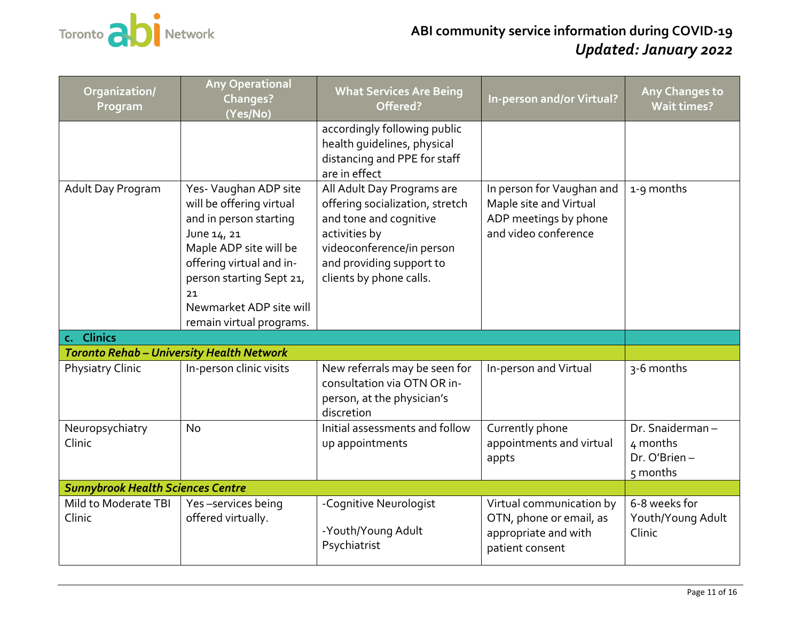

<span id="page-10-2"></span><span id="page-10-1"></span><span id="page-10-0"></span>

| Organization/<br>Program                         | <b>Any Operational</b><br>Changes?<br>(Yes/No)                                                                                                                                                                                            | <b>What Services Are Being</b><br>Offered?                                                                                                                                                   | In-person and/or Virtual?                                                                            | Any Changes to<br><b>Wait times?</b>                    |
|--------------------------------------------------|-------------------------------------------------------------------------------------------------------------------------------------------------------------------------------------------------------------------------------------------|----------------------------------------------------------------------------------------------------------------------------------------------------------------------------------------------|------------------------------------------------------------------------------------------------------|---------------------------------------------------------|
|                                                  |                                                                                                                                                                                                                                           | accordingly following public<br>health quidelines, physical<br>distancing and PPE for staff<br>are in effect                                                                                 |                                                                                                      |                                                         |
| Adult Day Program                                | Yes- Vaughan ADP site<br>will be offering virtual<br>and in person starting<br>June 14, 21<br>Maple ADP site will be<br>offering virtual and in-<br>person starting Sept 21,<br>21<br>Newmarket ADP site will<br>remain virtual programs. | All Adult Day Programs are<br>offering socialization, stretch<br>and tone and cognitive<br>activities by<br>videoconference/in person<br>and providing support to<br>clients by phone calls. | In person for Vaughan and<br>Maple site and Virtual<br>ADP meetings by phone<br>and video conference | 1-9 months                                              |
| c. Clinics                                       |                                                                                                                                                                                                                                           |                                                                                                                                                                                              |                                                                                                      |                                                         |
| <b>Toronto Rehab - University Health Network</b> |                                                                                                                                                                                                                                           |                                                                                                                                                                                              |                                                                                                      |                                                         |
| <b>Physiatry Clinic</b>                          | In-person clinic visits                                                                                                                                                                                                                   | New referrals may be seen for<br>consultation via OTN OR in-<br>person, at the physician's<br>discretion                                                                                     | In-person and Virtual                                                                                | 3-6 months                                              |
| Neuropsychiatry<br>Clinic                        | <b>No</b>                                                                                                                                                                                                                                 | Initial assessments and follow<br>up appointments                                                                                                                                            | Currently phone<br>appointments and virtual<br>appts                                                 | Dr. Snaiderman-<br>4 months<br>Dr. O'Brien-<br>5 months |
| <b>Sunnybrook Health Sciences Centre</b>         |                                                                                                                                                                                                                                           |                                                                                                                                                                                              |                                                                                                      |                                                         |
| Mild to Moderate TBI<br>Clinic                   | Yes-services being<br>offered virtually.                                                                                                                                                                                                  | -Cognitive Neurologist<br>-Youth/Young Adult<br>Psychiatrist                                                                                                                                 | Virtual communication by<br>OTN, phone or email, as<br>appropriate and with<br>patient consent       | 6-8 weeks for<br>Youth/Young Adult<br>Clinic            |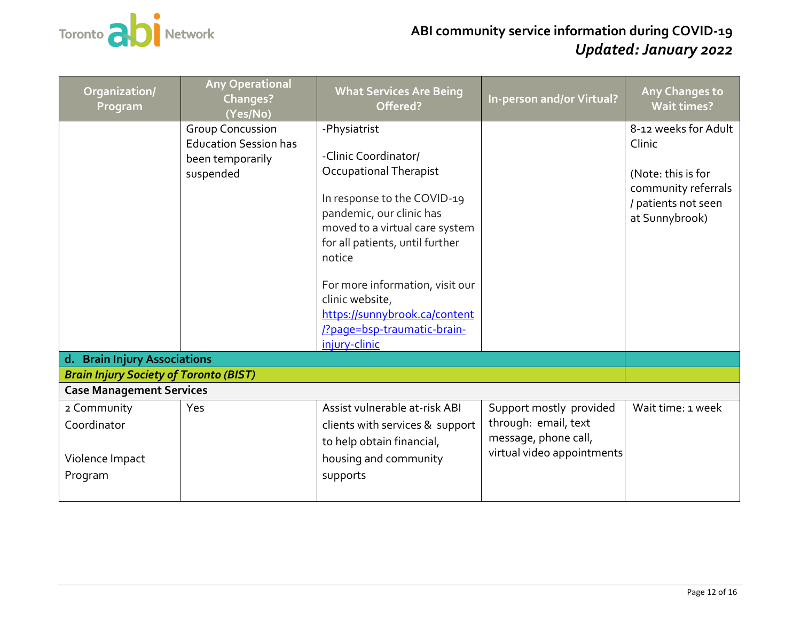

<span id="page-11-0"></span>

| Organization/<br>Program                                 | <b>Any Operational</b><br><b>Changes?</b><br>(Yes/No)                                    | <b>What Services Are Being</b><br>Offered?                                                                                                                                                                                                                                                                                                     | In-person and/or Virtual?                                                                             | Any Changes to<br><b>Wait times?</b>                                                                                 |
|----------------------------------------------------------|------------------------------------------------------------------------------------------|------------------------------------------------------------------------------------------------------------------------------------------------------------------------------------------------------------------------------------------------------------------------------------------------------------------------------------------------|-------------------------------------------------------------------------------------------------------|----------------------------------------------------------------------------------------------------------------------|
|                                                          | <b>Group Concussion</b><br><b>Education Session has</b><br>been temporarily<br>suspended | -Physiatrist<br>-Clinic Coordinator/<br>Occupational Therapist<br>In response to the COVID-19<br>pandemic, our clinic has<br>moved to a virtual care system<br>for all patients, until further<br>notice<br>For more information, visit our<br>clinic website,<br>https://sunnybrook.ca/content<br>Ppage=bsp-traumatic-brain-<br>injury-clinic |                                                                                                       | 8-12 weeks for Adult<br>Clinic<br>(Note: this is for<br>community referrals<br>/ patients not seen<br>at Sunnybrook) |
| d. Brain Injury Associations                             |                                                                                          |                                                                                                                                                                                                                                                                                                                                                |                                                                                                       |                                                                                                                      |
| <b>Brain Injury Society of Toronto (BIST)</b>            |                                                                                          |                                                                                                                                                                                                                                                                                                                                                |                                                                                                       |                                                                                                                      |
| <b>Case Management Services</b>                          |                                                                                          |                                                                                                                                                                                                                                                                                                                                                |                                                                                                       |                                                                                                                      |
| 2 Community<br>Coordinator<br>Violence Impact<br>Program | Yes                                                                                      | Assist vulnerable at-risk ABI<br>clients with services & support<br>to help obtain financial,<br>housing and community<br>supports                                                                                                                                                                                                             | Support mostly provided<br>through: email, text<br>message, phone call,<br>virtual video appointments | Wait time: 1 week                                                                                                    |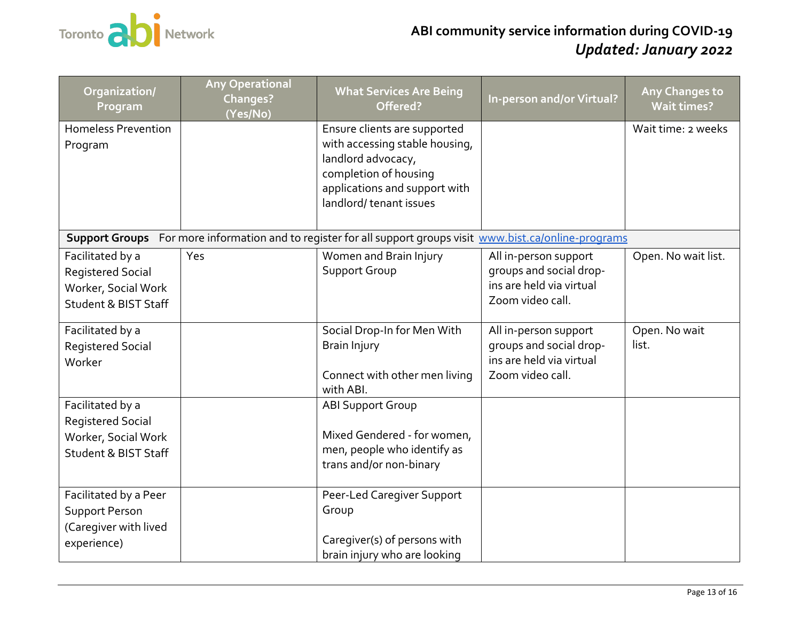

| Organization/<br>Program                                                                               | <b>Any Operational</b><br><b>Changes?</b><br>(Yes/No) | <b>What Services Are Being</b><br>Offered?                                                                                                                               | In-person and/or Virtual?                                                                        | Any Changes to<br><b>Wait times?</b> |
|--------------------------------------------------------------------------------------------------------|-------------------------------------------------------|--------------------------------------------------------------------------------------------------------------------------------------------------------------------------|--------------------------------------------------------------------------------------------------|--------------------------------------|
| <b>Homeless Prevention</b><br>Program                                                                  |                                                       | Ensure clients are supported<br>with accessing stable housing,<br>landlord advocacy,<br>completion of housing<br>applications and support with<br>landlord/tenant issues |                                                                                                  | Wait time: 2 weeks                   |
|                                                                                                        |                                                       | Support Groups For more information and to register for all support groups visit www.bist.ca/online-programs                                                             |                                                                                                  |                                      |
| Facilitated by a<br><b>Registered Social</b><br>Worker, Social Work<br><b>Student &amp; BIST Staff</b> | Yes                                                   | Women and Brain Injury<br><b>Support Group</b>                                                                                                                           | All in-person support<br>groups and social drop-<br>ins are held via virtual<br>Zoom video call. | Open. No wait list.                  |
| Facilitated by a<br><b>Registered Social</b><br>Worker                                                 |                                                       | Social Drop-In for Men With<br><b>Brain Injury</b><br>Connect with other men living<br>with ABI.                                                                         | All in-person support<br>groups and social drop-<br>ins are held via virtual<br>Zoom video call. | Open. No wait<br>list.               |
| Facilitated by a<br><b>Registered Social</b><br>Worker, Social Work<br><b>Student &amp; BIST Staff</b> |                                                       | <b>ABI Support Group</b><br>Mixed Gendered - for women,<br>men, people who identify as<br>trans and/or non-binary                                                        |                                                                                                  |                                      |
| Facilitated by a Peer<br><b>Support Person</b><br>(Caregiver with lived<br>experience)                 |                                                       | Peer-Led Caregiver Support<br>Group<br>Caregiver(s) of persons with<br>brain injury who are looking                                                                      |                                                                                                  |                                      |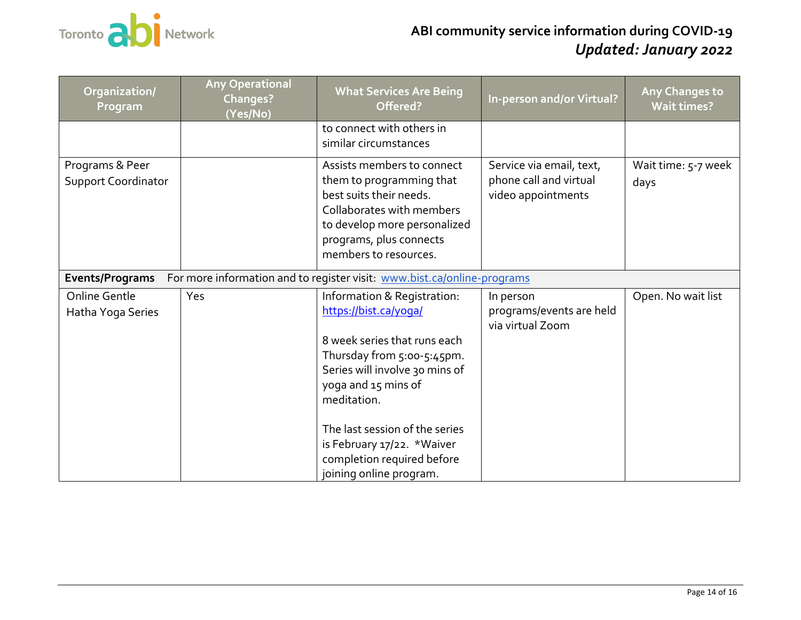

| Organization/<br>Program                                                                   | <b>Any Operational</b><br><b>Changes?</b><br>(Yes/No) | <b>What Services Are Being</b><br>Offered?                                                                                                                                                                                   | In-person and/or Virtual?                                                | <b>Any Changes to</b><br><b>Wait times?</b> |  |
|--------------------------------------------------------------------------------------------|-------------------------------------------------------|------------------------------------------------------------------------------------------------------------------------------------------------------------------------------------------------------------------------------|--------------------------------------------------------------------------|---------------------------------------------|--|
|                                                                                            |                                                       | to connect with others in<br>similar circumstances                                                                                                                                                                           |                                                                          |                                             |  |
| Programs & Peer<br><b>Support Coordinator</b>                                              |                                                       | Assists members to connect<br>them to programming that<br>best suits their needs.<br>Collaborates with members<br>to develop more personalized<br>programs, plus connects<br>members to resources.                           | Service via email, text,<br>phone call and virtual<br>video appointments | Wait time: 5-7 week<br>days                 |  |
| For more information and to register visit: www.bist.ca/online-programs<br>Events/Programs |                                                       |                                                                                                                                                                                                                              |                                                                          |                                             |  |
| Online Gentle<br>Hatha Yoga Series                                                         | Yes                                                   | Information & Registration:<br>https://bist.ca/yoga/<br>8 week series that runs each<br>Thursday from 5:00-5:45pm.<br>Series will involve 30 mins of<br>yoga and 15 mins of<br>meditation.<br>The last session of the series | In person<br>programs/events are held<br>via virtual Zoom                | Open. No wait list                          |  |
|                                                                                            |                                                       | is February 17/22. *Waiver<br>completion required before<br>joining online program.                                                                                                                                          |                                                                          |                                             |  |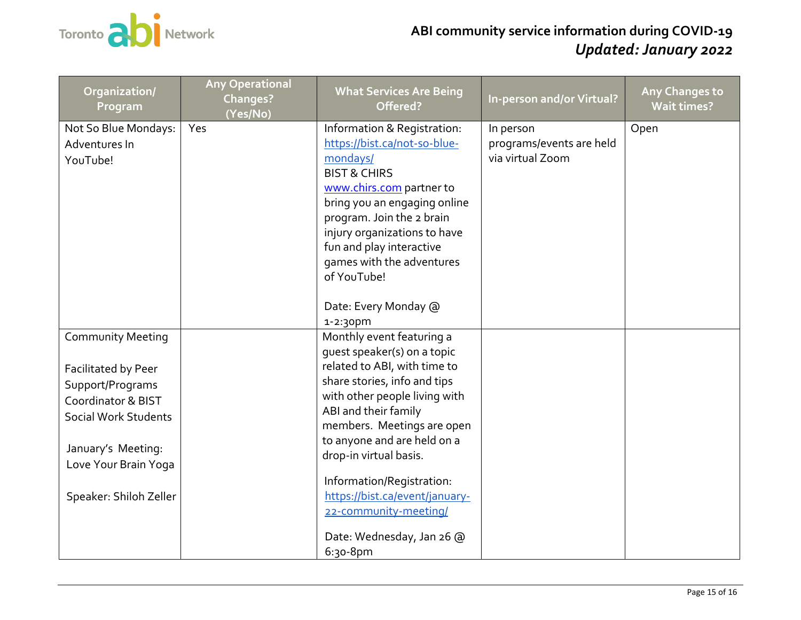

| Organization/<br>Program                                                                                                                                             | <b>Any Operational</b><br>Changes?<br>(Yes/No) | <b>What Services Are Being</b><br>Offered?                                                                                                                                                                                                                                                                                          | In-person and/or Virtual?                                 | <b>Any Changes to</b><br><b>Wait times?</b> |
|----------------------------------------------------------------------------------------------------------------------------------------------------------------------|------------------------------------------------|-------------------------------------------------------------------------------------------------------------------------------------------------------------------------------------------------------------------------------------------------------------------------------------------------------------------------------------|-----------------------------------------------------------|---------------------------------------------|
| Not So Blue Mondays:<br>Adventures In<br>YouTube!                                                                                                                    | Yes                                            | Information & Registration:<br>https://bist.ca/not-so-blue-<br>mondays/<br><b>BIST &amp; CHIRS</b><br>www.chirs.com partner to<br>bring you an engaging online<br>program. Join the 2 brain<br>injury organizations to have<br>fun and play interactive<br>games with the adventures<br>of YouTube!<br>Date: Every Monday @         | In person<br>programs/events are held<br>via virtual Zoom | Open                                        |
| <b>Community Meeting</b>                                                                                                                                             |                                                | 1-2:30pm<br>Monthly event featuring a                                                                                                                                                                                                                                                                                               |                                                           |                                             |
| Facilitated by Peer<br>Support/Programs<br>Coordinator & BIST<br><b>Social Work Students</b><br>January's Meeting:<br>Love Your Brain Yoga<br>Speaker: Shiloh Zeller |                                                | quest speaker(s) on a topic<br>related to ABI, with time to<br>share stories, info and tips<br>with other people living with<br>ABI and their family<br>members. Meetings are open<br>to anyone and are held on a<br>drop-in virtual basis.<br>Information/Registration:<br>https://bist.ca/event/january-<br>22-community-meeting/ |                                                           |                                             |
|                                                                                                                                                                      |                                                | Date: Wednesday, Jan 26 @<br>$6:30 - 8pm$                                                                                                                                                                                                                                                                                           |                                                           |                                             |